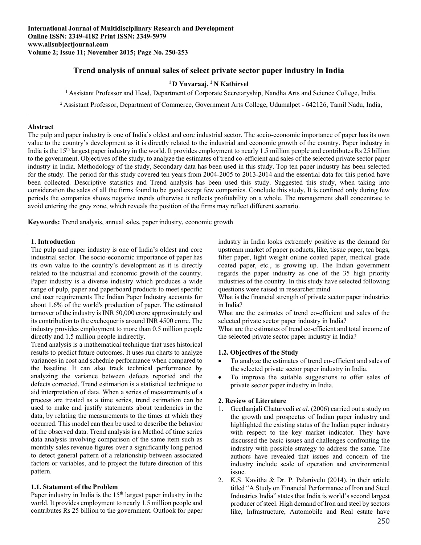# **Trend analysis of annual sales of select private sector paper industry in India**

# **1 D Yuvaraaj, 2 N Kathirvel**

1 Assistant Professor and Head, Department of Corporate Secretaryship, Nandha Arts and Science College, India.

2 Assistant Professor, Department of Commerce, Government Arts College, Udumalpet - 642126, Tamil Nadu, India,

### **Abstract**

The pulp and paper industry is one of India's oldest and core industrial sector. The socio-economic importance of paper has its own value to the country's development as it is directly related to the industrial and economic growth of the country. Paper industry in India is the 15<sup>th</sup> largest paper industry in the world. It provides employment to nearly 1.5 million people and contributes Rs 25 billion to the government. Objectives of the study, to analyze the estimates of trend co-efficient and sales of the selected private sector paper industry in India. Methodology of the study, Secondary data has been used in this study. Top ten paper industry has been selected for the study. The period for this study covered ten years from 2004-2005 to 2013-2014 and the essential data for this period have been collected. Descriptive statistics and Trend analysis has been used this study. Suggested this study, when taking into consideration the sales of all the firms found to be good except few companies. Conclude this study, It is confined only during few periods the companies shows negative trends otherwise it reflects profitability on a whole. The management shall concentrate to avoid entering the grey zone, which reveals the position of the firms may reflect different scenario.

**Keywords:** Trend analysis, annual sales, paper industry, economic growth

### **1. Introduction**

The pulp and paper industry is one of India's oldest and core industrial sector. The socio-economic importance of paper has its own value to the country's development as it is directly related to the industrial and economic growth of the country. Paper industry is a diverse industry which produces a wide range of pulp, paper and paperboard products to meet specific end user requirements The Indian Paper Industry accounts for about 1.6% of the world's production of paper. The estimated turnover of the industry is INR 50,000 crore approximately and its contribution to the exchequer is around INR 4500 crore. The industry provides employment to more than 0.5 million people directly and 1.5 million people indirectly.

Trend analysis is a mathematical technique that uses historical results to predict future outcomes. It uses run charts to analyze variances in cost and schedule performance when compared to the baseline. It can also track technical performance by analyzing the variance between defects reported and the defects corrected. Trend estimation is a statistical technique to aid interpretation of data. When a series of measurements of a process are treated as a time series, trend estimation can be used to make and justify statements about tendencies in the data, by relating the measurements to the times at which they occurred. This model can then be used to describe the behavior of the observed data. Trend analysis is a Method of time series data analysis involving comparison of the same item such as monthly sales revenue figures over a significantly long period to detect general pattern of a relationship between associated factors or variables, and to project the future direction of this pattern.

## **1.1. Statement of the Problem**

Paper industry in India is the  $15<sup>th</sup>$  largest paper industry in the world. It provides employment to nearly 1.5 million people and contributes Rs 25 billion to the government. Outlook for paper industry in India looks extremely positive as the demand for upstream market of paper products, like, tissue paper, tea bags, filter paper, light weight online coated paper, medical grade coated paper, etc., is growing up. The Indian government regards the paper industry as one of the 35 high priority industries of the country. In this study have selected following questions were raised in researcher mind

What is the financial strength of private sector paper industries in India?

What are the estimates of trend co-efficient and sales of the selected private sector paper industry in India?

What are the estimates of trend co-efficient and total income of the selected private sector paper industry in India?

#### **1.2. Objectives of the Study**

- To analyze the estimates of trend co-efficient and sales of the selected private sector paper industry in India.
- To improve the suitable suggestions to offer sales of private sector paper industry in India.

## **2. Review of Literature**

- 1. Geethanjali Chaturvedi *et al.* (2006) carried out a study on the growth and prospectus of Indian paper industry and highlighted the existing status of the Indian paper industry with respect to the key market indicator. They have discussed the basic issues and challenges confronting the industry with possible strategy to address the same. The authors have revealed that issues and concern of the industry include scale of operation and environmental issue.
- 2. K.S. Kavitha & Dr. P. Palanivelu (2014), in their article titled "A Study on Financial Performance of Iron and Steel Industries India" states that India is world's second largest producer of steel. High demand of Iron and steel by sectors like, Infrastructure, Automobile and Real estate have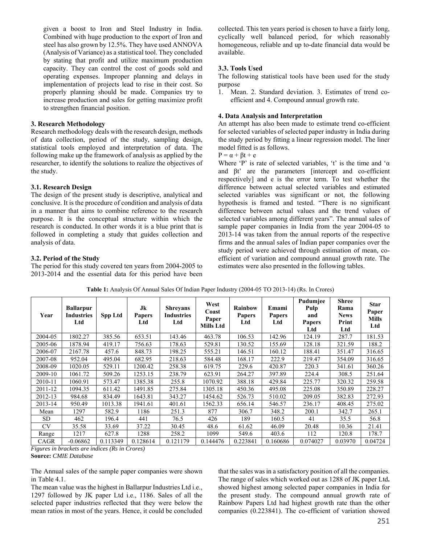given a boost to Iron and Steel Industry in India. Combined with huge production to the export of Iron and steel has also grown by 12.5%. They have used ANNOVA (Analysis of Variance) as a statistical tool. They concluded by stating that profit and utilize maximum production capacity. They can control the cost of goods sold and operating expenses. Improper planning and delays in implementation of projects lead to rise in their cost. So properly planning should be made. Companies try to increase production and sales for getting maximize profit to strengthen financial position.

### **3. Research Methodology**

Research methodology deals with the research design, methods of data collection, period of the study, sampling design, statistical tools employed and interpretation of data. The following make up the framework of analysis as applied by the researcher, to identify the solutions to realize the objectives of the study.

### **3.1. Research Design**

The design of the present study is descriptive, analytical and conclusive. It is the procedure of condition and analysis of data in a manner that aims to combine reference to the research purpose. It is the conceptual structure within which the research is conducted. In other words it is a blue print that is followed in completing a study that guides collection and analysis of data.

#### **3.2. Period of the Study**

The period for this study covered ten years from 2004-2005 to 2013-2014 and the essential data for this period have been

collected. This ten years period is chosen to have a fairly long, cyclically well balanced period, for which reasonably homogeneous, reliable and up to-date financial data would be available.

## **3.3. Tools Used**

The following statistical tools have been used for the study purpose

1. Mean. 2. Standard deviation. 3. Estimates of trend coefficient and 4. Compound annual growth rate.

#### **4. Data Analysis and Interpretation**

An attempt has also been made to estimate trend co-efficient for selected variables of selected paper industry in India during the study period by fitting a linear regression model. The liner model fitted is as follows.

 $P = \alpha + \beta t + e$ 

Where 'P' is rate of selected variables, 't' is the time and ' $\alpha$ and βt' are the parameters [intercept and co-efficient respectively] and e is the error term. To test whether the difference between actual selected variables and estimated selected variables was significant or not, the following hypothesis is framed and tested. "There is no significant difference between actual values and the trend values of selected variables among different years". The annual sales of sample paper companies in India from the year 2004-05 to 2013-14 was taken from the annual reports of the respective firms and the annual sales of Indian paper companies over the study period were achieved through estimation of mean, coefficient of variation and compound annual growth rate. The estimates were also presented in the following tables.

| Year      | <b>Ballarpur</b><br>Industries<br>Ltd | Spp Ltd  | Jk<br><b>Papers</b><br>Ltd | <b>Shreyans</b><br><b>Industries</b><br>Ltd | West<br>Coast<br>Paper<br>Mills Ltd | <b>Rainbow</b><br><b>Papers</b><br>Ltd | Emami<br><b>Papers</b><br>Ltd | Pudumjee<br>Pulp<br>and<br><b>Papers</b><br>Ltd | <b>Shree</b><br>Rama<br><b>News</b><br>Print<br>Ltd | <b>Star</b><br>Paper<br>Mills<br>Ltd |
|-----------|---------------------------------------|----------|----------------------------|---------------------------------------------|-------------------------------------|----------------------------------------|-------------------------------|-------------------------------------------------|-----------------------------------------------------|--------------------------------------|
| 2004-05   | 1802.27                               | 385.56   | 653.51                     | 143.46                                      | 463.78                              | 106.53                                 | 142.96                        | 124.19                                          | 287.7                                               | 181.53                               |
| 2005-06   | 1878.94                               | 419.17   | 756.63                     | 178.63                                      | 529.81                              | 130.52                                 | 155.69                        | 128.18                                          | 321.59                                              | 188.2                                |
| 2006-07   | 2167.78                               | 457.6    | 848.73                     | 198.25                                      | 555.21                              | 146.51                                 | 160.12                        | 188.41                                          | 351.47                                              | 316.65                               |
| 2007-08   | 952.04                                | 495.04   | 682.95                     | 218.63                                      | 584.48                              | 168.17                                 | 222.9                         | 219.47                                          | 354.09                                              | 316.65                               |
| 2008-09   | 1020.05                               | 529.11   | 1200.42                    | 258.38                                      | 619.75                              | 229.6                                  | 420.87                        | 220.3                                           | 341.61                                              | 360.26                               |
| 2009-10   | 1061.72                               | 509.26   | 1253.15                    | 238.79                                      | 623.91                              | 264.27                                 | 397.89                        | 224.4                                           | 308.5                                               | 251.64                               |
| 2010-11   | 1060.91                               | 573.47   | 1385.38                    | 255.8                                       | 1070.92                             | 388.18                                 | 429.84                        | 225.77                                          | 320.32                                              | 259.58                               |
| 2011-12   | 1094.35                               | 611.42   | 1491.85                    | 275.84                                      | 1305.18                             | 450.36                                 | 495.08                        | 225.08                                          | 350.89                                              | 228.27                               |
| 2012-13   | 984.68                                | 834.49   | 1643.81                    | 343.27                                      | 1454.62                             | 526.73                                 | 510.02                        | 209.05                                          | 382.83                                              | 272.93                               |
| 2013-14   | 950.49                                | 1013.38  | 1941.61                    | 401.61                                      | 1562.33                             | 656.14                                 | 546.57                        | 236.17                                          | 408.45                                              | 275.02                               |
| Mean      | 1297                                  | 582.9    | 1186                       | 251.3                                       | 877                                 | 306.7                                  | 348.2                         | 200.1                                           | 342.7                                               | 265.1                                |
| SD.       | 462                                   | 196.4    | 441                        | 76.5                                        | 426                                 | 189                                    | 160.5                         | 41                                              | 35.5                                                | 56.8                                 |
| <b>CV</b> | 35.58                                 | 33.69    | 37.22                      | 30.45                                       | 48.6                                | 61.62                                  | 46.09                         | 20.48                                           | 10.36                                               | 21.41                                |
| Range     | 1217                                  | 627.8    | 1288                       | 258.2                                       | 1099                                | 549.6                                  | 403.6                         | 112                                             | 120.8                                               | 178.7                                |
| CAGR      | $-0.06862$                            | 0.113349 | 0.128614                   | 0.121179                                    | 0.144476                            | 0.223841                               | 0.160686                      | 0.074027                                        | 0.03970                                             | 0.04724                              |

**Table 1:** Analysis Of Annual Sales Of Indian Paper Industry (2004-05 TO 2013-14) (Rs. In Crores)

*Figures in brackets are indices (Rs in Crores)*  **Source:** *CMIE Database*

The Annual sales of the sample paper companies were shown in Table 4.1.

The mean value was the highest in Ballarpur Industries Ltd i.e., 1297 followed by JK paper Ltd i.e., 1186. Sales of all the selected paper industries reflected that they were below the mean ratios in most of the years. Hence, it could be concluded

that the sales was in a satisfactory position of all the companies. The range of sales which worked out as 1288 of JK paper Ltd**.**  showed highest among selected paper companies in India for the present study. The compound annual growth rate of Rainbow Papers Ltd had highest growth rate than the other companies (0.223841). The co-efficient of variation showed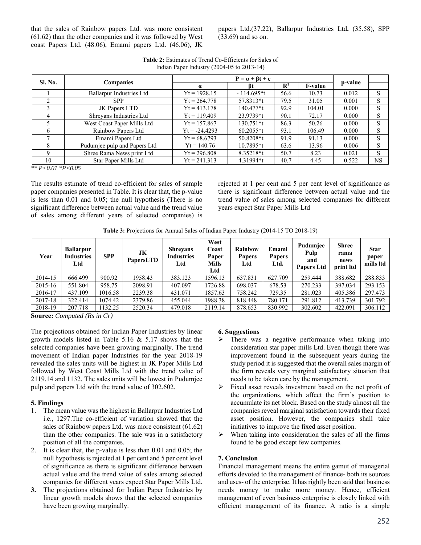that the sales of Rainbow papers Ltd. was more consistent (61.62) than the other companies and it was followed by West coast Papers Ltd. (48.06), Emami papers Ltd. (46.06), JK

papers Ltd.(37.22), Ballarpur Industries Ltd**.** (35.58), SPP (33.69) and so on.

| <b>Sl. No.</b> |                                 |                 |              |                |                |         |           |
|----------------|---------------------------------|-----------------|--------------|----------------|----------------|---------|-----------|
|                | <b>Companies</b>                | Вt<br>$\alpha$  |              | $\mathbb{R}^2$ | <b>F-value</b> | p-value |           |
|                | <b>Ballarpur Industries Ltd</b> | $Yt = 1928.15$  | $-114.695*t$ | 56.6           | 10.73          | 0.012   | S         |
|                | <b>SPP</b>                      | $Yt = 264.778$  | 57.8313*t    | 79.5           | 31.05          | 0.001   | S         |
|                | JK Papers LTD                   | $Yt = 413.178$  | $140.477*$ t | 92.9           | 104.01         | 0.000   | S         |
| 4              | Shreyans Industries Ltd         | $Yt = 119.409$  | 23.9739*t    | 90.1           | 72.17          | 0.000   | S         |
|                | West Coast Paper Mills Ltd      | $Yt = 157.867$  | $130.751*$ t | 86.3           | 50.26          | 0.000   | S         |
| 6              | Rainbow Papers Ltd              | $Yt = -24.4293$ | $60.2055*t$  | 93.1           | 106.49         | 0.000   | S         |
|                | Emami Papers Ltd                | $Yt = 68.6793$  | 50.8208*t    | 91.9           | 91.13          | 0.000   | S         |
|                | Pudumjee pulp and Papers Ltd    | $Yt = 140.76$   | $10.7895*t$  | 63.6           | 13.96          | 0.006   | S         |
|                | Shree Rama News print Ltd       | $Yt = 296.808$  | 8.35218*t    | 50.7           | 8.23           | 0.021   | S         |
| 10             | Star Paper Mills Ltd            | $Yt = 241.313$  | 4.31994*t    | 40.7           | 4.45           | 0.522   | <b>NS</b> |

**Table 2:** Estimates of Trend Co-Efficients for Sales of Indian Paper Industry (2004-05 to 2013-14)

*\*\* P<0.01 \*P<0.05*

The results estimate of trend co-efficient for sales of sample paper companies presented in Table. It is clear that, the p-value is less than 0.01 and 0.05; the null hypothesis (There is no significant difference between actual value and the trend value of sales among different years of selected companies) is rejected at 1 per cent and 5 per cent level of significance as there is significant difference between actual value and the trend value of sales among selected companies for different years expect Star Paper Mills Ltd

**Table 3:** Projections for Annual Sales of Indian Paper Industry (2014-15 TO 2018-19)

| Year        | <b>Ballarpur</b><br><b>Industries</b><br>Ltd | <b>SPP</b> | JK<br>PapersLTD | Shreyans<br><b>Industries</b><br>Ltd | West<br>Coast<br>Paper<br><b>Mills</b><br>Ltd | <b>Rainbow</b><br><b>Papers</b><br>Ltd | Emami<br><b>Papers</b><br>Ltd. | Pudumjee<br>Pulp<br>and<br><b>Papers Ltd</b> | <b>Shree</b><br>rama<br>news<br>print ltd | <b>Star</b><br>paper<br>mills ltd |
|-------------|----------------------------------------------|------------|-----------------|--------------------------------------|-----------------------------------------------|----------------------------------------|--------------------------------|----------------------------------------------|-------------------------------------------|-----------------------------------|
| 2014-15     | 666.499                                      | 900.92     | 1958.43         | 383.123                              | 1596.13                                       | 637.831                                | 627.709                        | 259.444                                      | 388.682                                   | 288.833                           |
| $2015 - 16$ | 551.804                                      | 958.75     | 2098.91         | 407.097                              | 1726.88                                       | 698.037                                | 678.53                         | 270.233                                      | 397.034                                   | 293.153                           |
| 2016-17     | 437.109                                      | 1016.58    | 2239.38         | 431.071                              | 1857.63                                       | 758.242                                | 729.35                         | 281.023                                      | 405.386                                   | 297.473                           |
| 2017-18     | 322.414                                      | 1074.42    | 2379.86         | 455.044                              | 1988.38                                       | 818.448                                | 780.171                        | 291.812                                      | 413.739                                   | 301.792                           |
| 2018-19     | 207.718                                      | 132.25     | 2520.34         | 479.018                              | 2119.14                                       | 878.653                                | 830.992                        | 302.602                                      | 422.091                                   | 306.112                           |

**Source:** *Computed (Rs in Cr)* 

The projections obtained for Indian Paper Industries by linear growth models listed in Table 5.16  $&$  5.17 shows that the selected companies have been growing marginally. The trend movement of Indian paper Industries for the year 2018-19 revealed the sales units will be highest in JK Paper Mills Ltd followed by West Coast Mills Ltd with the trend value of 2119.14 and 1132. The sales units will be lowest in Pudumjee pulp and papers Ltd with the trend value of 302.602.

## **5. Findings**

- 1. The mean value was the highest in Ballarpur Industries Ltd i.e., 1297.The co-efficient of variation showed that the sales of Rainbow papers Ltd. was more consistent (61.62) than the other companies. The sale was in a satisfactory position of all the companies.
- 2. It is clear that, the p-value is less than 0.01 and 0.05; the null hypothesis is rejected at 1 per cent and 5 per cent level of significance as there is significant difference between actual value and the trend value of sales among selected companies for different years expect Star Paper Mills Ltd.
- **3.** The projections obtained for Indian Paper Industries by linear growth models shows that the selected companies have been growing marginally.

## **6. Suggestions**

- $\triangleright$  There was a negative performance when taking into consideration star paper mills Ltd. Even though there was improvement found in the subsequent years during the study period it is suggested that the overall sales margin of the firm reveals very marginal satisfactory situation that needs to be taken care by the management.
- $\triangleright$  Fixed asset reveals investment based on the net profit of the organizations, which affect the firm's position to accumulate its net block. Based on the study almost all the companies reveal marginal satisfaction towards their fixed asset position. However, the companies shall take initiatives to improve the fixed asset position.
- $\triangleright$  When taking into consideration the sales of all the firms found to be good except few companies.

# **7. Conclusion**

Financial management means the entire gamut of managerial efforts devoted to the management of finance- both its sources and uses- of the enterprise. It has rightly been said that business needs money to make more money. Hence, efficient management of even business enterprise is closely linked with efficient management of its finance. A ratio is a simple